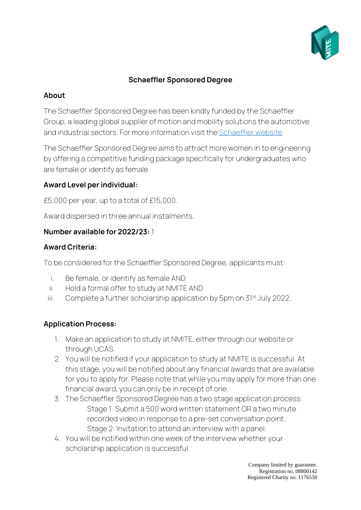

## **Schaeffler Sponsored Degree**

### **About**

The Schaeffler Sponsored Degree has been kindly funded by the Schaeffler Group, a leading global supplier of motion and mobility solutions the automotive and industrial sectors. For more information visit th[e Schaeffler](https://www.schaeffler.com/) website.

The Schaeffler Sponsored Degree aims to attract more women in to engineering by offering a competitive funding package specifically for undergraduates who are female or identify as female.

## **Award Level per individual:**

£5,000 per year, up to a total of £15,000.

Award dispersed in three annual instalments.

#### **Number available for 2022/23:** 1

#### **Award Criteria:**

To be considered for the Schaeffler Sponsored Degree, applicants must:

- i. Be female, or identify as female AND
- ii. Hold a formal offer to study at NMITE AND
- iii. Complete a further scholarship application by 5pm on 31<sup>st</sup> July 2022.

# **Application Process:**

- 1. Make an application to study at NMITE, either through our website or through UCAS.
- 2. You will be notified if your application to study at NMITE is successful. At this stage, you will be notified about any financial awards that are available for you to apply for. Please note that while you may apply for more than one financial award, you can only be in receipt of one.
- 3. The Schaeffler Sponsored Degree has a two stage application process: Stage 1: Submit a 500 word written statement OR a two minute recorded video in response to a pre-set conversation point. Stage 2: Invitation to attend an interview with a panel.
- 4. You will be notified within one week of the interview whether your scholarship application is successful.